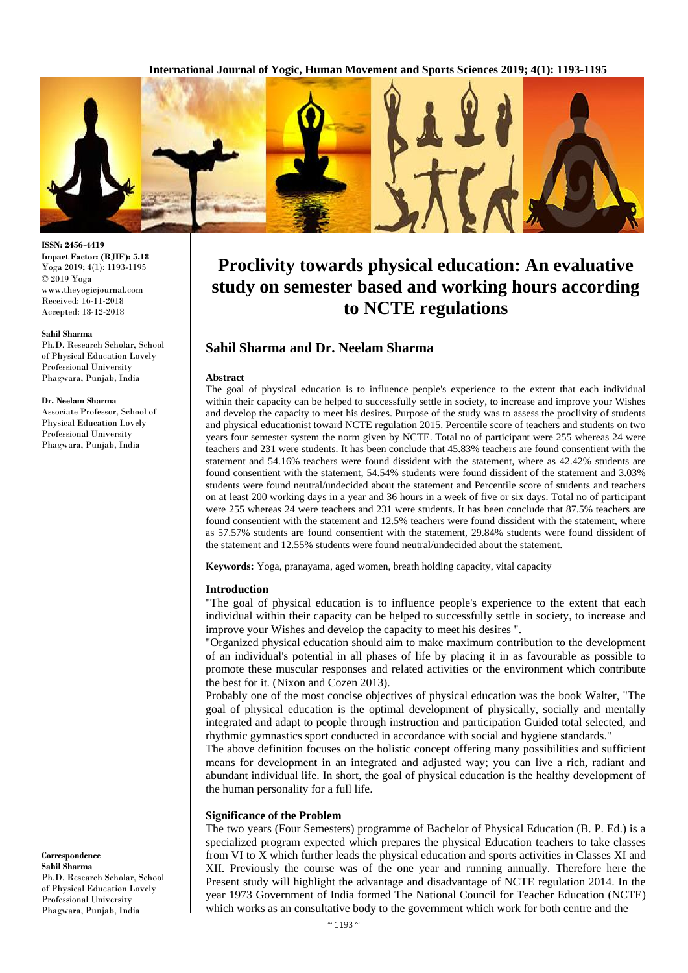

#### **ISSN: 2456-4419 Impact Factor: (RJIF): 5.18** Yoga 2019; 4(1): 1193-1195 © 2019 Yoga www.theyogicjournal.com Received: 16-11-2018 Accepted: 18-12-2018

#### **Sahil Sharma**

Ph.D. Research Scholar, School of Physical Education Lovely Professional University Phagwara, Punjab, India

#### **Dr. Neelam Sharma**

Associate Professor, School of Physical Education Lovely Professional University Phagwara, Punjab, India

**Correspondence Sahil Sharma** Ph.D. Research Scholar, School of Physical Education Lovely Professional University Phagwara, Punjab, India

# **Proclivity towards physical education: An evaluative study on semester based and working hours according to NCTE regulations**

# **Sahil Sharma and Dr. Neelam Sharma**

#### **Abstract**

The goal of physical education is to influence people's experience to the extent that each individual within their capacity can be helped to successfully settle in society, to increase and improve your Wishes and develop the capacity to meet his desires. Purpose of the study was to assess the proclivity of students and physical educationist toward NCTE regulation 2015. Percentile score of teachers and students on two years four semester system the norm given by NCTE. Total no of participant were 255 whereas 24 were teachers and 231 were students. It has been conclude that 45.83% teachers are found consentient with the statement and 54.16% teachers were found dissident with the statement, where as 42.42% students are found consentient with the statement, 54.54% students were found dissident of the statement and 3.03% students were found neutral/undecided about the statement and Percentile score of students and teachers on at least 200 working days in a year and 36 hours in a week of five or six days. Total no of participant were 255 whereas 24 were teachers and 231 were students. It has been conclude that 87.5% teachers are found consentient with the statement and 12.5% teachers were found dissident with the statement, where as 57.57% students are found consentient with the statement, 29.84% students were found dissident of the statement and 12.55% students were found neutral/undecided about the statement.

**Keywords:** Yoga, pranayama, aged women, breath holding capacity, vital capacity

#### **Introduction**

"The goal of physical education is to influence people's experience to the extent that each individual within their capacity can be helped to successfully settle in society, to increase and improve your Wishes and develop the capacity to meet his desires ".

"Organized physical education should aim to make maximum contribution to the development of an individual's potential in all phases of life by placing it in as favourable as possible to promote these muscular responses and related activities or the environment which contribute the best for it. (Nixon and Cozen 2013).

Probably one of the most concise objectives of physical education was the book Walter, "The goal of physical education is the optimal development of physically, socially and mentally integrated and adapt to people through instruction and participation Guided total selected, and rhythmic gymnastics sport conducted in accordance with social and hygiene standards."

The above definition focuses on the holistic concept offering many possibilities and sufficient means for development in an integrated and adjusted way; you can live a rich, radiant and abundant individual life. In short, the goal of physical education is the healthy development of the human personality for a full life.

#### **Significance of the Problem**

The two years (Four Semesters) programme of Bachelor of Physical Education (B. P. Ed.) is a specialized program expected which prepares the physical Education teachers to take classes from VI to X which further leads the physical education and sports activities in Classes XI and XII. Previously the course was of the one year and running annually. Therefore here the Present study will highlight the advantage and disadvantage of NCTE regulation 2014. In the year 1973 Government of India formed The National Council for Teacher Education (NCTE) which works as an consultative body to the government which work for both centre and the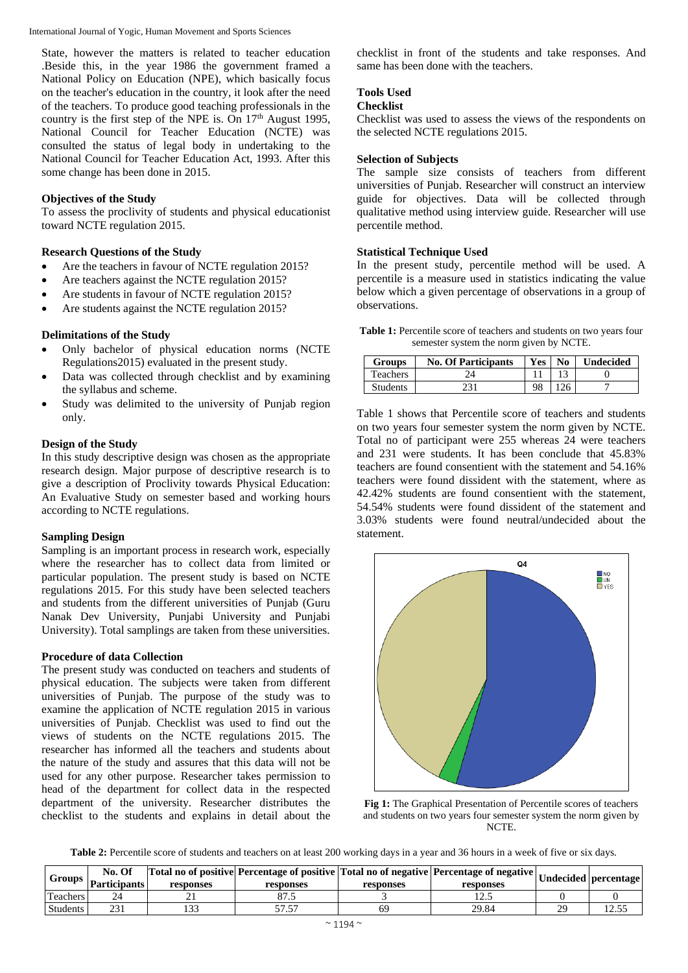International Journal of Yogic, Human Movement and Sports Sciences

State, however the matters is related to teacher education .Beside this, in the year 1986 the government framed a National Policy on Education (NPE), which basically focus on the teacher's education in the country, it look after the need of the teachers. To produce good teaching professionals in the country is the first step of the NPE is. On 17<sup>th</sup> August 1995, National Council for Teacher Education (NCTE) was consulted the status of legal body in undertaking to the National Council for Teacher Education Act, 1993. After this some change has been done in 2015.

## **Objectives of the Study**

To assess the proclivity of students and physical educationist toward NCTE regulation 2015.

## **Research Questions of the Study**

- Are the teachers in favour of NCTE regulation 2015?
- Are teachers against the NCTE regulation 2015?
- Are students in favour of NCTE regulation 2015?
- Are students against the NCTE regulation 2015?

## **Delimitations of the Study**

- Only bachelor of physical education norms (NCTE Regulations2015) evaluated in the present study.
- Data was collected through checklist and by examining the syllabus and scheme.
- Study was delimited to the university of Punjab region only.

## **Design of the Study**

In this study descriptive design was chosen as the appropriate research design. Major purpose of descriptive research is to give a description of Proclivity towards Physical Education: An Evaluative Study on semester based and working hours according to NCTE regulations.

## **Sampling Design**

Sampling is an important process in research work, especially where the researcher has to collect data from limited or particular population. The present study is based on NCTE regulations 2015. For this study have been selected teachers and students from the different universities of Punjab (Guru Nanak Dev University, Punjabi University and Punjabi University). Total samplings are taken from these universities.

## **Procedure of data Collection**

The present study was conducted on teachers and students of physical education. The subjects were taken from different universities of Punjab. The purpose of the study was to examine the application of NCTE regulation 2015 in various universities of Punjab. Checklist was used to find out the views of students on the NCTE regulations 2015. The researcher has informed all the teachers and students about the nature of the study and assures that this data will not be used for any other purpose. Researcher takes permission to head of the department for collect data in the respected department of the university. Researcher distributes the checklist to the students and explains in detail about the checklist in front of the students and take responses. And same has been done with the teachers.

## **Tools Used**

#### **Checklist**

Checklist was used to assess the views of the respondents on the selected NCTE regulations 2015.

#### **Selection of Subjects**

The sample size consists of teachers from different universities of Punjab. Researcher will construct an interview guide for objectives. Data will be collected through qualitative method using interview guide. Researcher will use percentile method.

## **Statistical Technique Used**

In the present study, percentile method will be used. A percentile is a measure used in statistics indicating the value below which a given percentage of observations in a group of observations.

Table 1: Percentile score of teachers and students on two years four semester system the norm given by NCTE.

| <b>Groups</b>   | <b>No. Of Participants</b> | <b>Yes</b> | N <sub>0</sub> | <b>Undecided</b> |
|-----------------|----------------------------|------------|----------------|------------------|
| <b>Teachers</b> |                            |            |                |                  |
| Students        |                            | 98         |                |                  |

Table 1 shows that Percentile score of teachers and students on two years four semester system the norm given by NCTE. Total no of participant were 255 whereas 24 were teachers and 231 were students. It has been conclude that 45.83% teachers are found consentient with the statement and 54.16% teachers were found dissident with the statement, where as 42.42% students are found consentient with the statement, 54.54% students were found dissident of the statement and 3.03% students were found neutral/undecided about the statement.



**Fig 1:** The Graphical Presentation of Percentile scores of teachers and students on two years four semester system the norm given by NCTE.

Table 2: Percentile score of students and teachers on at least 200 working days in a year and 36 hours in a week of five or six days.

| <b>Groups</b>   | No. Of<br>Participants | responses          | responses | responses | <b>Total no of positive Percentage of positive   Total no of negative   Percentage of negative   Undecided   percentage  </b><br>responses |        |
|-----------------|------------------------|--------------------|-----------|-----------|--------------------------------------------------------------------------------------------------------------------------------------------|--------|
| Teachers        |                        |                    | ن ، رو    |           | .                                                                                                                                          |        |
| <b>Students</b> | nn.<br>. ب             | $\sqrt{2}$<br>1 ປປ | ر.,       | 69        | 29.84                                                                                                                                      | …ل د…ا |